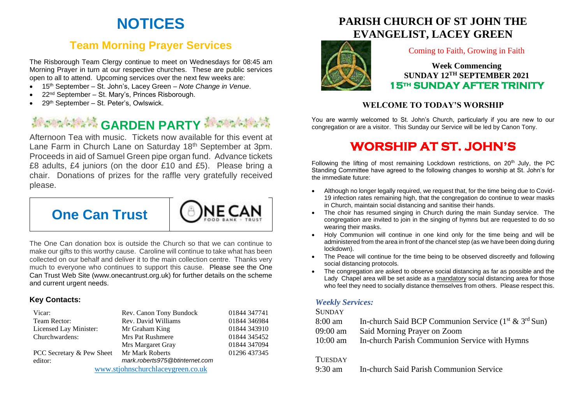# **NOTICES**

## **Team Morning Prayer Services**

The Risborough Team Clergy continue to meet on Wednesdays for 08:45 am Morning Prayer in turn at our respective churches. These are public services open to all to attend. Upcoming services over the next few weeks are:

- 15th September St. John's, Lacey Green *– Note Change in Venue*.
- 22<sup>nd</sup> September St. Mary's, Princes Risborough.
- 29<sup>th</sup> September St. Peter's, Owlswick.

# **Management CARDEN PARTY Management**

Afternoon Tea with music. Tickets now available for this event at Lane Farm in Church Lane on Saturday 18<sup>th</sup> September at 3pm. Proceeds in aid of Samuel Green pipe organ fund. Advance tickets £8 adults, £4 juniors (on the door £10 and £5). Please bring a chair. Donations of prizes for the raffle very gratefully received please.



The One Can donation box is outside the Church so that we can continue to make our gifts to this worthy cause. Caroline will continue to take what has been collected on our behalf and deliver it to the main collection centre. Thanks very much to everyone who continues to support this cause. Please see the One Can Trust Web Site (www.onecantrust.org.uk) for further details on the scheme and current urgent needs.

#### **Key Contacts:**

| Vicar:                            | Rev. Canon Tony Bundock        | 01844 347741 |
|-----------------------------------|--------------------------------|--------------|
| Team Rector:                      | Rev. David Williams            | 01844 346984 |
| Licensed Lay Minister:            | Mr Graham King                 | 01844 343910 |
| Churchwardens:                    | <b>Mrs Pat Rushmere</b>        | 01844 345452 |
|                                   | Mrs Margaret Gray              | 01844 347094 |
| PCC Secretary & Pew Sheet         | Mr Mark Roberts                | 01296 437345 |
| editor:                           | mark.roberts975@btinternet.com |              |
| www.stjohnschurchlaceygreen.co.uk |                                |              |

## **PARISH CHURCH OF ST JOHN THE EVANGELIST, LACEY GREEN**



#### Coming to Faith, Growing in Faith

**Week Commencing SUNDAY 12TH SEPTEMBER 2021 15th SUNDAY AFTER TRINITY** 

#### **WELCOME TO TODAY'S WORSHIP**

You are warmly welcomed to St. John's Church, particularly if you are new to our congregation or are a visitor. This Sunday our Service will be led by Canon Tony.

## **WORSHIP AT ST. JOHN'S**

Following the lifting of most remaining Lockdown restrictions, on  $20<sup>th</sup>$  July, the PC Standing Committee have agreed to the following changes to worship at St. John's for the immediate future:

- Although no longer legally required, we request that, for the time being due to Covid-19 infection rates remaining high, that the congregation do continue to wear masks in Church, maintain social distancing and sanitise their hands.
- The choir has resumed singing in Church during the main Sunday service. The congregation are invited to join in the singing of hymns but are requested to do so wearing their masks.
- Holy Communion will continue in one kind only for the time being and will be administered from the area in front of the chancel step (as we have been doing during lockdown).
- The Peace will continue for the time being to be observed discreetly and following social distancing protocols.
- The congregation are asked to observe social distancing as far as possible and the Lady Chapel area will be set aside as a mandatory social distancing area for those who feel they need to socially distance themselves from others. Please respect this.

#### *Weekly Services:*

#### **SUNDAY**

- 8:00 am In-church Said BCP Communion Service  $(1<sup>st</sup> \& 3<sup>rd</sup> Sun)$
- 09:00 am Said Morning Prayer on Zoom
- 10:00 am In-church Parish Communion Service with Hymns

#### **TUESDAY**

9:30 am In-church Said Parish Communion Service